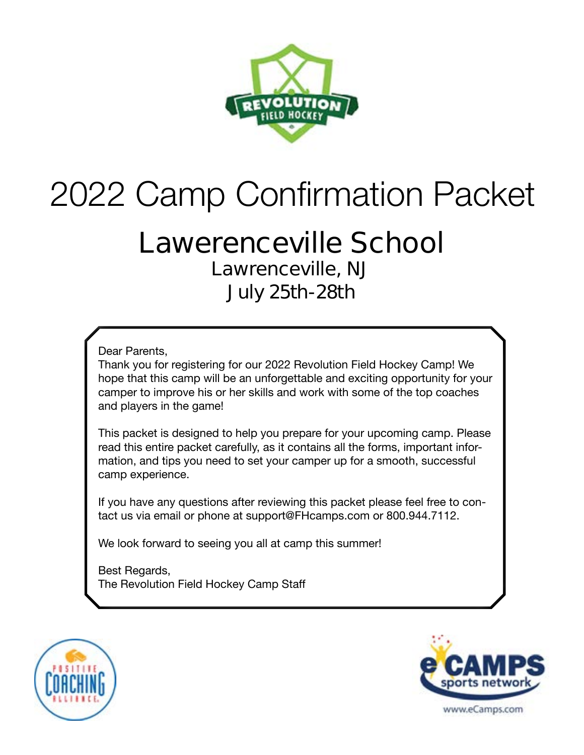

# 2022 Camp Confirmation Packet

### **Lawerenceville School Lawrenceville, NJ July 25th-28th**

Dear Parents,

Thank you for registering for our 2022 Revolution Field Hockey Camp! We hope that this camp will be an unforgettable and exciting opportunity for your camper to improve his or her skills and work with some of the top coaches and players in the game!

This packet is designed to help you prepare for your upcoming camp. Please read this entire packet carefully, as it contains all the forms, important information, and tips you need to set your camper up for a smooth, successful camp experience.

If you have any questions after reviewing this packet please feel free to contact us via email or phone at support@FHcamps.com or 800.944.7112.

We look forward to seeing you all at camp this summer!

Best Regards, The Revolution Field Hockey Camp Staff



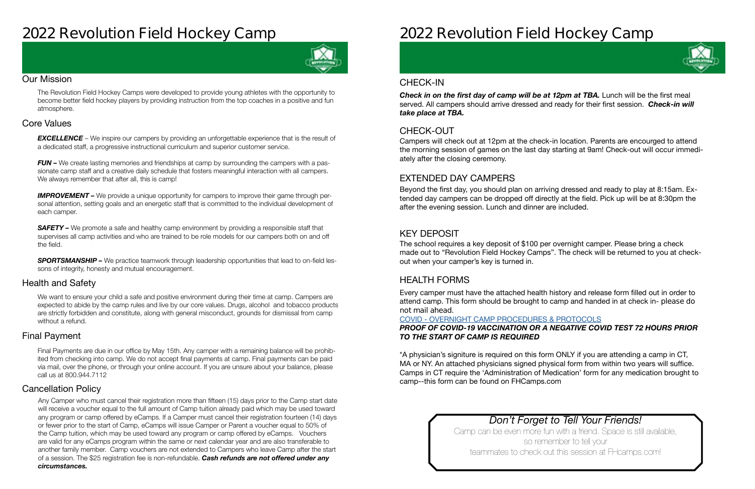## **2022 Revolution Field Hockey Camp**



#### Our Mission

The Revolution Field Hockey Camps were developed to provide young athletes with the opportunity to become better field hockey players by providing instruction from the top coaches in a positive and fun atmosphere.

#### Health and Safety

We want to ensure your child a safe and positive environment during their time at camp. Campers are expected to abide by the camp rules and live by our core values. Drugs, alcohol and tobacco products are strictly forbidden and constitute, along with general misconduct, grounds for dismissal from camp without a refund.

#### Cancellation Policy

#### Final Payment

**EXCELLENCE** – We inspire our campers by providing an unforgettable experience that is the result of a dedicated staff, a progressive instructional curriculum and superior customer service.

*FUN –* We create lasting memories and friendships at camp by surrounding the campers with a passionate camp staff and a creative daily schedule that fosters meaningful interaction with all campers. We always remember that after all, this is camp!

#### Core Values

**IMPROVEMENT** – We provide a unique opportunity for campers to improve their game through personal attention, setting goals and an energetic staff that is committed to the individual development of each camper.

**SAFETY** – We promote a safe and healthy camp environment by providing a responsible staff that supervises all camp activities and who are trained to be role models for our campers both on and off the field.

**SPORTSMANSHIP –** We practice teamwork through leadership opportunities that lead to on-field lessons of integrity, honesty and mutual encouragement.

Final Payments are due in our office by May 15th. Any camper with a remaining balance will be prohibited from checking into camp. We do not accept final payments at camp. Final payments can be paid via mail, over the phone, or through your online account. If you are unsure about your balance, please call us at 800.944.7112

**Check in on the first day of camp will be at 12pm at TBA.** Lunch will be the first meal served. All campers should arrive dressed and ready for their first session. *Check-in will take place at TBA.*

Any Camper who must cancel their registration more than fifteen (15) days prior to the Camp start date will receive a voucher equal to the full amount of Camp tuition already paid which may be used toward any program or camp offered by eCamps. If a Camper must cancel their registration fourteen (14) days or fewer prior to the start of Camp, eCamps will issue Camper or Parent a voucher equal to 50% of the Camp tuition, which may be used toward any program or camp offered by eCamps. Vouchers are valid for any eCamps program within the same or next calendar year and are also transferable to another family member. Camp vouchers are not extended to Campers who leave Camp after the start of a session. The \$25 registration fee is non-refundable. *Cash refunds are not offered under any circumstances.*

## **2022 Revolution Field Hockey Camp**

### *Don't Forget to Tell Your Friends!*

Camp can be even more fun with a friend. Space is still available, so remember to tell your teammates to check out this session at FHcamps.com!

#### CHECK-OUT

#### EXTENDED DAY CAMPERS

### KEY DEPOSIT

#### HEALTH FORMS

Campers will check out at 12pm at the check-in location. Parents are encourged to attend the morning session of games on the last day starting at 9am! Check-out will occur immediately after the closing ceremony.

Beyond the first day, you should plan on arriving dressed and ready to play at 8:15am. Extended day campers can be dropped off directly at the field. Pick up will be at 8:30pm the after the evening session. Lunch and dinner are included.

The school requires a key deposit of \$100 per overnight camper. Please bring a check made out to "Revolution Field Hockey Camps". The check will be returned to you at checkout when your camper's key is turned in.

Every camper must have the attached health history and release form filled out in order to attend camp. This form should be brought to camp and handed in at check in- **please do not mail ahead**.

#### COVID - [OVERNIGHT CAMP PROCEDURES & PROTOCOLS](https://laxcamps.com/wp-content/uploads/COVID-19-eCamps-Sports-Network-Guidlines-Overnight-Camp.pdf) *PROOF OF COVID-19 VACCINATION OR A NEGATIVE COVID TEST 72 HOURS PRIOR TO THE START OF CAMP IS REQUIRED*

\*A physician's signiture is required on this form ONLY if you are attending a camp in CT, MA or NY. An attached physicians signed physical form from within two years will suffice. Camps in CT require the 'Administration of Medication' form for any medication brought to camp--this form can be found on FHCamps.com

#### CHECK-IN